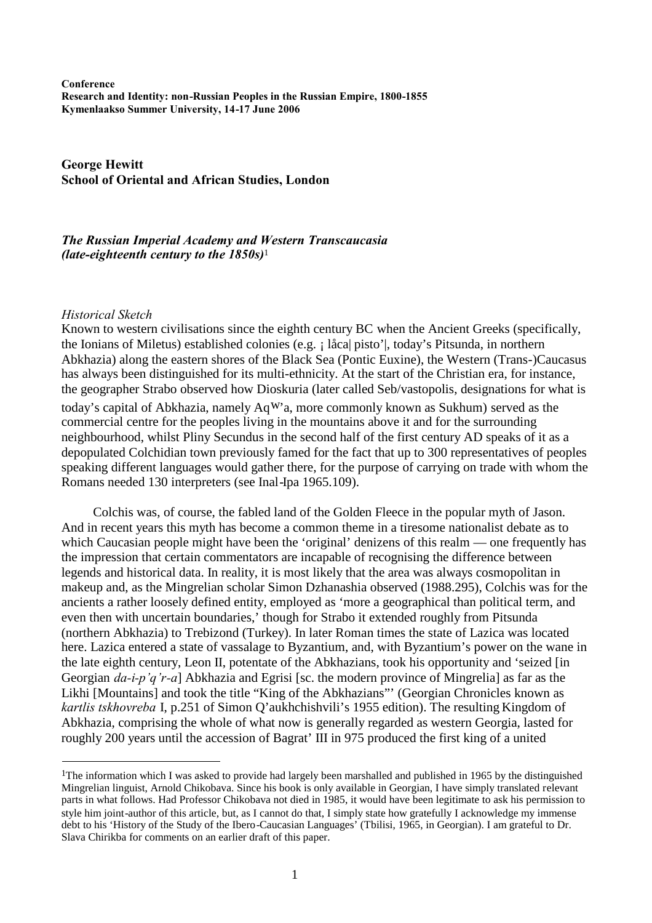**Conference Research and Identity: non-Russian Peoples in the Russian Empire, 1800-1855 Kymenlaakso Summer University, 14-17 June 2006**

**George Hewitt School of Oriental and African Studies, London**

# *The Russian Imperial Academy and Western Transcaucasia (late-eighteenth century to the 1850s)*[1](#page-0-0)

#### *Historical Sketch*

Known to western civilisations since the eighth century BC when the Ancient Greeks (specifically, the Ionians of Miletus) established colonies (e.g. ¡ låca| pisto'|, today's Pitsunda, in northern Abkhazia) along the eastern shores of the Black Sea (Pontic Euxine), the Western (Trans-)Caucasus has always been distinguished for its multi-ethnicity. At the start of the Christian era, for instance, the geographer Strabo observed how Dioskuria (later called Seb/vastopolis, designations for what is today's capital of Abkhazia, namely  $AqW$ 'a, more commonly known as Sukhum) served as the commercial centre for the peoples living in the mountains above it and for the surrounding neighbourhood, whilst Pliny Secundus in the second half of the first century AD speaks of it as a depopulated Colchidian town previously famed for the fact that up to 300 representatives of peoples speaking different languages would gather there, for the purpose of carrying on trade with whom the Romans needed 130 interpreters (see Inal-Ipa 1965.109).

Colchis was, of course, the fabled land of the Golden Fleece in the popular myth of Jason. And in recent years this myth has become a common theme in a tiresome nationalist debate as to which Caucasian people might have been the 'original' denizens of this realm — one frequently has the impression that certain commentators are incapable of recognising the difference between legends and historical data. In reality, it is most likely that the area was always cosmopolitan in makeup and, as the Mingrelian scholar Simon Dzhanashia observed (1988.295), Colchis was for the ancients a rather loosely defined entity, employed as 'more a geographical than political term, and even then with uncertain boundaries,' though for Strabo it extended roughly from Pitsunda (northern Abkhazia) to Trebizond (Turkey). In later Roman times the state of Lazica was located here. Lazica entered a state of vassalage to Byzantium, and, with Byzantium's power on the wane in the late eighth century, Leon II, potentate of the Abkhazians, took his opportunity and 'seized [in Georgian *da-i-p'q'r-a*] Abkhazia and Egrisi [sc. the modern province of Mingrelia] as far as the Likhi [Mountains] and took the title "King of the Abkhazians"' (Georgian Chronicles known as *kartlis tskhovreba* I, p.251 of Simon Q'aukhchishvili's 1955 edition). The resulting Kingdom of Abkhazia, comprising the whole of what now is generally regarded as western Georgia, lasted for roughly 200 years until the accession of Bagrat' III in 975 produced the first king of a united

<span id="page-0-0"></span><sup>1</sup>The information which I was asked to provide had largely been marshalled and published in 1965 by the distinguished Mingrelian linguist, Arnold Chikobava. Since his book is only available in Georgian, I have simply translated relevant parts in what follows. Had Professor Chikobava not died in 1985, it would have been legitimate to ask his permission to style him joint-author of this article, but, as I cannot do that, I simply state how gratefully I acknowledge my immense debt to his 'History of the Study of the Ibero-Caucasian Languages' (Tbilisi, 1965, in Georgian). I am grateful to Dr. Slava Chirikba for comments on an earlier draft of this paper.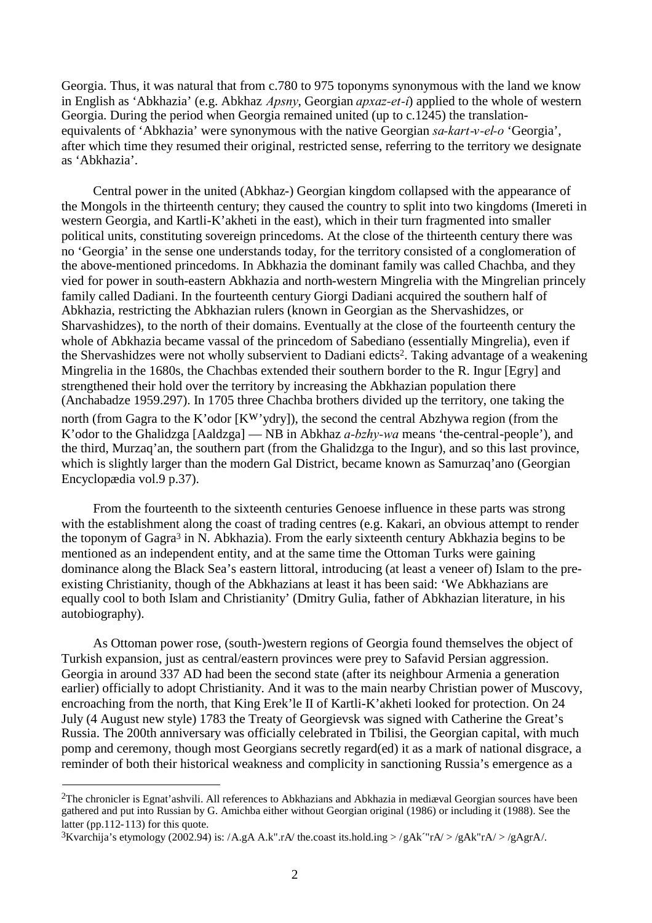Georgia. Thus, it was natural that from c.780 to 975 toponyms synonymous with the land we know in English as 'Abkhazia' (e.g. Abkhaz *Apsny*, Georgian *apxaz-et-i*) applied to the whole of western Georgia. During the period when Georgia remained united (up to c.1245) the translationequivalents of 'Abkhazia' were synonymous with the native Georgian *sa-kart-v-el-o* 'Georgia', after which time they resumed their original, restricted sense, referring to the territory we designate as 'Abkhazia'.

Central power in the united (Abkhaz-) Georgian kingdom collapsed with the appearance of the Mongols in the thirteenth century; they caused the country to split into two kingdoms (Imereti in western Georgia, and Kartli-K'akheti in the east), which in their turn fragmented into smaller political units, constituting sovereign princedoms. At the close of the thirteenth century there was no 'Georgia' in the sense one understands today, for the territory consisted of a conglomeration of the above-mentioned princedoms. In Abkhazia the dominant family was called Chachba, and they vied for power in south-eastern Abkhazia and north-western Mingrelia with the Mingrelian princely family called Dadiani. In the fourteenth century Giorgi Dadiani acquired the southern half of Abkhazia, restricting the Abkhazian rulers (known in Georgian as the Shervashidzes, or Sharvashidzes), to the north of their domains. Eventually at the close of the fourteenth century the whole of Abkhazia became vassal of the princedom of Sabediano (essentially Mingrelia), even if the Shervashidzes were not wholly subservient to Dadiani edicts2[.](#page-1-0) Taking advantage of a weakening Mingrelia in the 1680s, the Chachbas extended their southern border to the R. Ingur [Egry] and strengthened their hold over the territory by increasing the Abkhazian population there (Anchabadze 1959.297). In 1705 three Chachba brothers divided up the territory, one taking the north (from Gagra to the K'odor [K<sup>w</sup>'ydry]), the second the central Abzhywa region (from the K'odor to the Ghalidzga [Aaldzga] — NB in Abkhaz *a-bzhy-wa* means 'the-central-people'), and the third, Murzaq'an, the southern part (from the Ghalidzga to the Ingur), and so this last province, which is slightly larger than the modern Gal District, became known as Samurzaq'ano (Georgian Encyclopædia vol.9 p.37).

From the fourteenth to the sixteenth centuries Genoese influence in these parts was strong with the establishment along the coast of trading centres (e.g. Kakari, an obvious attempt to render the toponym of Gagra[3](#page-1-1) in N. Abkhazia). From the early sixteenth century Abkhazia begins to be mentioned as an independent entity, and at the same time the Ottoman Turks were gaining dominance along the Black Sea's eastern littoral, introducing (at least a veneer of) Islam to the preexisting Christianity, though of the Abkhazians at least it has been said: 'We Abkhazians are equally cool to both Islam and Christianity' (Dmitry Gulia, father of Abkhazian literature, in his autobiography).

As Ottoman power rose, (south-)western regions of Georgia found themselves the object of Turkish expansion, just as central/eastern provinces were prey to Safavid Persian aggression. Georgia in around 337 AD had been the second state (after its neighbour Armenia a generation earlier) officially to adopt Christianity. And it was to the main nearby Christian power of Muscovy, encroaching from the north, that King Erek'le II of Kartli-K'akheti looked for protection. On 24 July (4 August new style) 1783 the Treaty of Georgievsk was signed with Catherine the Great's Russia. The 200th anniversary was officially celebrated in Tbilisi, the Georgian capital, with much pomp and ceremony, though most Georgians secretly regard(ed) it as a mark of national disgrace, a reminder of both their historical weakness and complicity in sanctioning Russia's emergence as a

<span id="page-1-0"></span> $2$ The chronicler is Egnat'ashvili. All references to Abkhazians and Abkhazia in mediæval Georgian sources have been gathered and put into Russian by G. Amichba either without Georgian original (1986) or including it (1988). See the latter (pp.112-113) for this quote.

<span id="page-1-1"></span><sup>&</sup>lt;sup>3</sup>Kvarchija's etymology (2002.94) is: /A.gA A.k".rA/ the.coast its.hold.ing >/gAk<sup>-"</sup>rA/>/gAk<sup>-"</sup>rA/>/gAgrA/.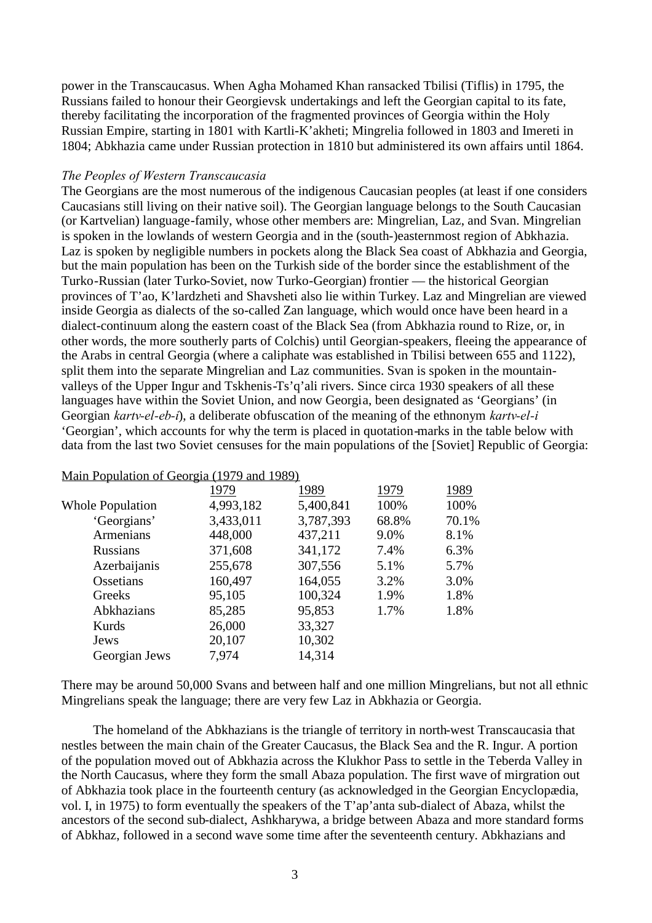power in the Transcaucasus. When Agha Mohamed Khan ransacked Tbilisi (Tiflis) in 1795, the Russians failed to honour their Georgievsk undertakings and left the Georgian capital to its fate, thereby facilitating the incorporation of the fragmented provinces of Georgia within the Holy Russian Empire, starting in 1801 with Kartli-K'akheti; Mingrelia followed in 1803 and Imereti in 1804; Abkhazia came under Russian protection in 1810 but administered its own affairs until 1864.

# *The Peoples of Western Transcaucasia*

The Georgians are the most numerous of the indigenous Caucasian peoples (at least if one considers Caucasians still living on their native soil). The Georgian language belongs to the South Caucasian (or Kartvelian) language-family, whose other members are: Mingrelian, Laz, and Svan. Mingrelian is spoken in the lowlands of western Georgia and in the (south-)easternmost region of Abkhazia. Laz is spoken by negligible numbers in pockets along the Black Sea coast of Abkhazia and Georgia, but the main population has been on the Turkish side of the border since the establishment of the Turko-Russian (later Turko-Soviet, now Turko-Georgian) frontier — the historical Georgian provinces of T'ao, K'lardzheti and Shavsheti also lie within Turkey. Laz and Mingrelian are viewed inside Georgia as dialects of the so-called Zan language, which would once have been heard in a dialect-continuum along the eastern coast of the Black Sea (from Abkhazia round to Rize, or, in other words, the more southerly parts of Colchis) until Georgian-speakers, fleeing the appearance of the Arabs in central Georgia (where a caliphate was established in Tbilisi between 655 and 1122), split them into the separate Mingrelian and Laz communities. Svan is spoken in the mountainvalleys of the Upper Ingur and Tskhenis-Ts'q'ali rivers. Since circa 1930 speakers of all these languages have within the Soviet Union, and now Georgia, been designated as 'Georgians' (in Georgian *kartv-el-eb-i*), a deliberate obfuscation of the meaning of the ethnonym *kartv-el-i* 'Georgian', which accounts for why the term is placed in quotation-marks in the table below with data from the last two Soviet censuses for the main populations of the [Soviet] Republic of Georgia:

| <u>Maill I opulation of Georgia (1777 and 1767)</u> |           |           |       |       |
|-----------------------------------------------------|-----------|-----------|-------|-------|
|                                                     | 1979      | 1989      | 1979  | 1989  |
| <b>Whole Population</b>                             | 4,993,182 | 5,400,841 | 100%  | 100%  |
| 'Georgians'                                         | 3,433,011 | 3,787,393 | 68.8% | 70.1% |
| Armenians                                           | 448,000   | 437,211   | 9.0%  | 8.1%  |
| <b>Russians</b>                                     | 371,608   | 341,172   | 7.4%  | 6.3%  |
| Azerbaijanis                                        | 255,678   | 307,556   | 5.1%  | 5.7%  |
| Ossetians                                           | 160,497   | 164,055   | 3.2%  | 3.0%  |
| Greeks                                              | 95,105    | 100,324   | 1.9%  | 1.8%  |
| Abkhazians                                          | 85,285    | 95,853    | 1.7%  | 1.8%  |
| Kurds                                               | 26,000    | 33,327    |       |       |
| Jews                                                | 20,107    | 10,302    |       |       |
| Georgian Jews                                       | 7,974     | 14,314    |       |       |
|                                                     |           |           |       |       |

Main Population of Georgia (1979 and 1989)

There may be around 50,000 Svans and between half and one million Mingrelians, but not all ethnic Mingrelians speak the language; there are very few Laz in Abkhazia or Georgia.

The homeland of the Abkhazians is the triangle of territory in north-west Transcaucasia that nestles between the main chain of the Greater Caucasus, the Black Sea and the R. Ingur. A portion of the population moved out of Abkhazia across the Klukhor Pass to settle in the Teberda Valley in the North Caucasus, where they form the small Abaza population. The first wave of mirgration out of Abkhazia took place in the fourteenth century (as acknowledged in the Georgian Encyclopædia, vol. I, in 1975) to form eventually the speakers of the T'ap'anta sub-dialect of Abaza, whilst the ancestors of the second sub-dialect, Ashkharywa, a bridge between Abaza and more standard forms of Abkhaz, followed in a second wave some time after the seventeenth century. Abkhazians and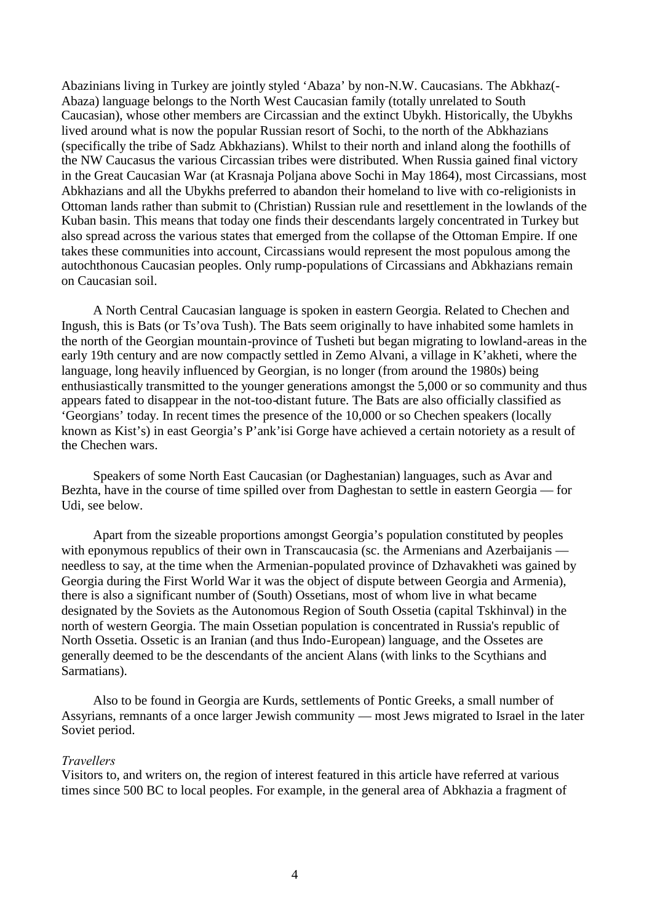Abazinians living in Turkey are jointly styled 'Abaza' by non-N.W. Caucasians. The Abkhaz(- Abaza) language belongs to the North West Caucasian family (totally unrelated to South Caucasian), whose other members are Circassian and the extinct Ubykh. Historically, the Ubykhs lived around what is now the popular Russian resort of Sochi, to the north of the Abkhazians (specifically the tribe of Sadz Abkhazians). Whilst to their north and inland along the foothills of the NW Caucasus the various Circassian tribes were distributed. When Russia gained final victory in the Great Caucasian War (at Krasnaja Poljana above Sochi in May 1864), most Circassians, most Abkhazians and all the Ubykhs preferred to abandon their homeland to live with co-religionists in Ottoman lands rather than submit to (Christian) Russian rule and resettlement in the lowlands of the Kuban basin. This means that today one finds their descendants largely concentrated in Turkey but also spread across the various states that emerged from the collapse of the Ottoman Empire. If one takes these communities into account, Circassians would represent the most populous among the autochthonous Caucasian peoples. Only rump-populations of Circassians and Abkhazians remain on Caucasian soil.

A North Central Caucasian language is spoken in eastern Georgia. Related to Chechen and Ingush, this is Bats (or Ts'ova Tush). The Bats seem originally to have inhabited some hamlets in the north of the Georgian mountain-province of Tusheti but began migrating to lowland-areas in the early 19th century and are now compactly settled in Zemo Alvani, a village in K'akheti, where the language, long heavily influenced by Georgian, is no longer (from around the 1980s) being enthusiastically transmitted to the younger generations amongst the 5,000 or so community and thus appears fated to disappear in the not-too-distant future. The Bats are also officially classified as 'Georgians' today. In recent times the presence of the 10,000 or so Chechen speakers (locally known as Kist's) in east Georgia's P'ank'isi Gorge have achieved a certain notoriety as a result of the Chechen wars.

Speakers of some North East Caucasian (or Daghestanian) languages, such as Avar and Bezhta, have in the course of time spilled over from Daghestan to settle in eastern Georgia — for Udi, see below.

Apart from the sizeable proportions amongst Georgia's population constituted by peoples with eponymous republics of their own in Transcaucasia (sc. the Armenians and Azerbaijanis needless to say, at the time when the Armenian-populated province of Dzhavakheti was gained by Georgia during the First World War it was the object of dispute between Georgia and Armenia), there is also a significant number of (South) Ossetians, most of whom live in what became designated by the Soviets as the Autonomous Region of South Ossetia (capital Tskhinval) in the north of western Georgia. The main Ossetian population is concentrated in Russia's republic of North Ossetia. Ossetic is an Iranian (and thus Indo-European) language, and the Ossetes are generally deemed to be the descendants of the ancient Alans (with links to the Scythians and Sarmatians).

Also to be found in Georgia are Kurds, settlements of Pontic Greeks, a small number of Assyrians, remnants of a once larger Jewish community — most Jews migrated to Israel in the later Soviet period.

### *Travellers*

Visitors to, and writers on, the region of interest featured in this article have referred at various times since 500 BC to local peoples. For example, in the general area of Abkhazia a fragment of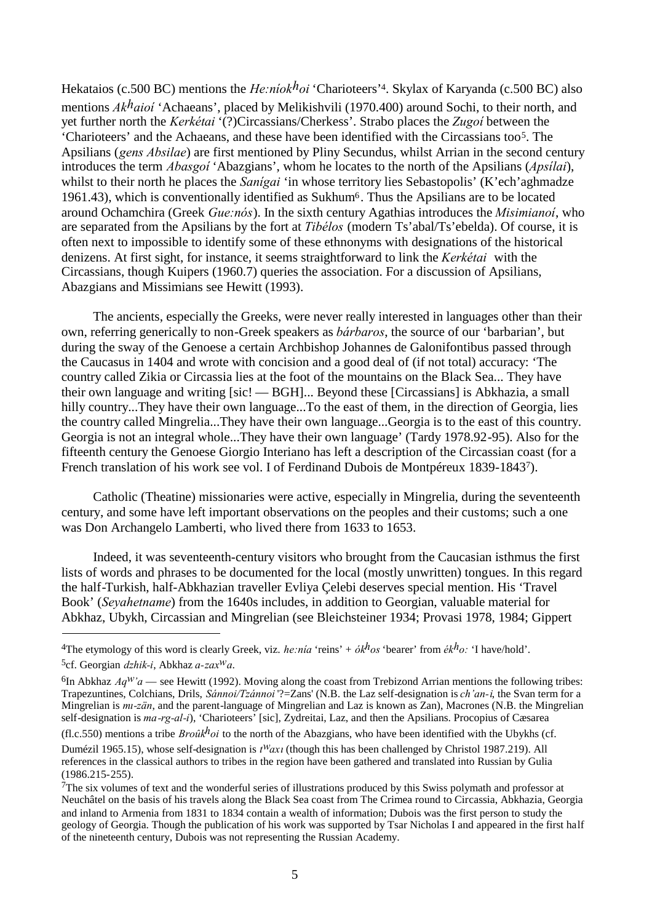Hekataios (c.500 BC) mentions the *He:níokhoi* 'Charioteers'4[.](#page-4-0) Skylax of Karyanda (c.500 BC) also mentions *Akhaioí* 'Achaeans', placed by Melikishvili (1970.400) around Sochi, to their north, and yet further north the *Kerkétai* '(?)Circassians/Cherkess'. Strabo places the *Zugoí* between the 'Charioteers' and the Achaeans, and these have been identified with the Circassianstoo5. The Apsilians (*gens Absilae*) are first mentioned by Pliny Secundus, whilst Arrian in the second century introduces the term *Abasgoí* 'Abazgians', whom he locates to the north of the Apsilians (*Apsílai*), whilst to their north he places the *Sanigai* 'in whose territory lies Sebastopolis' (K'ech'aghmadze 1961.43), which is conventionally identified as Sukhum6[.](#page-4-2) Thus the Apsilians are to be located around Ochamchira (Greek *Gue:nós*). In the sixth century Agathias introduces the *Misimianoí*, who are separated from the Apsilians by the fort at *Tibélos* (modern Ts'abal/Ts'ebelda). Of course, it is often next to impossible to identify some of these ethnonyms with designations of the historical denizens. At first sight, for instance, it seems straightforward to link the *Kerkétai* with the Circassians, though Kuipers (1960.7) queries the association. For a discussion of Apsilians, Abazgians and Missimians see Hewitt (1993).

The ancients, especially the Greeks, were never really interested in languages other than their own, referring generically to non-Greek speakers as *bárbaros*, the source of our 'barbarian', but during the sway of the Genoese a certain Archbishop Johannes de Galonifontibus passed through the Caucasus in 1404 and wrote with concision and a good deal of (if not total) accuracy: 'The country called Zikia or Circassia lies at the foot of the mountains on the Black Sea... They have their own language and writing [sic! — BGH]... Beyond these [Circassians] is Abkhazia, a small hilly country...They have their own language...To the east of them, in the direction of Georgia, lies the country called Mingrelia...They have their own language...Georgia is to the east of this country. Georgia is not an integral whole...They have their own language' (Tardy 1978.92-95). Also for the fifteenth century the Genoese Giorgio Interiano has left a description of the Circassian coast (for a French translation of his work see vol. I of Ferdinand Dubois de Montpéreux 1839-18437[\)](#page-4-3).

Catholic (Theatine) missionaries were active, especially in Mingrelia, during the seventeenth century, and some have left important observations on the peoples and their customs; such a one was Don Archangelo Lamberti, who lived there from 1633 to 1653.

Indeed, it was seventeenth-century visitors who brought from the Caucasian isthmus the first lists of words and phrases to be documented for the local (mostly unwritten) tongues. In this regard the half-Turkish, half-Abkhazian traveller Evliya Çelebi deserves special mention. His 'Travel Book' (*Seyahetname*) from the 1640s includes, in addition to Georgian, valuable material for Abkhaz, Ubykh, Circassian and Mingrelian (see Bleichsteiner 1934; Provasi 1978, 1984; Gippert

<span id="page-4-0"></span><sup>&</sup>lt;sup>4</sup>The etymology of this word is clearly Greek, viz. *he:nia* 'reins' +  $\delta k^h$ os 'bearer' from  $\acute{e}k^h$ o: 'I have/hold'.

<span id="page-4-2"></span><span id="page-4-1"></span><sup>5</sup>cf. Georgian *dzhik-i*, Abkhaz *a-zaxwa*.

<sup>&</sup>lt;sup>6</sup>In Abkhaz  $Aq^{W'}a$  — see Hewitt (1992). Moving along the coast from Trebizond Arrian mentions the following tribes: Trapezuntines, Colchians, Drils, *Sánnoi/Tzánnoi* '?=Zans' (N.B. the Laz self-designation is *ch'an-i*, the Svan term for a Mingrelian is *mı-zän*, and the parent-language of Mingrelian and Laz is known as Zan), Macrones (N.B. the Mingrelian self-designation is *ma-rg-al-i*), 'Charioteers' [sic], Zydreitai, Laz, and then the Apsilians. Procopius of Cæsarea

<sup>(</sup>fl.c.550) mentions a tribe  $Bro\hat{u}k^h$ oi to the north of the Abazgians, who have been identified with the Ubykhs (cf.

Dumézil 1965.15), whose self-designation is *twaxı*(though this has been challenged by Christol 1987.219). All references in the classical authors to tribes in the region have been gathered and translated into Russian by Gulia (1986.215-255).

<span id="page-4-3"></span><sup>7</sup>The six volumes of text and the wonderful series of illustrations produced by this Swiss polymath and professor at Neuchâtel on the basis of his travels along the Black Sea coast from The Crimea round to Circassia, Abkhazia, Georgia and inland to Armenia from 1831 to 1834 contain a wealth of information; Dubois was the first person to study the geology of Georgia. Though the publication of his work was supported by Tsar Nicholas I and appeared in the first half of the nineteenth century, Dubois was not representing the Russian Academy.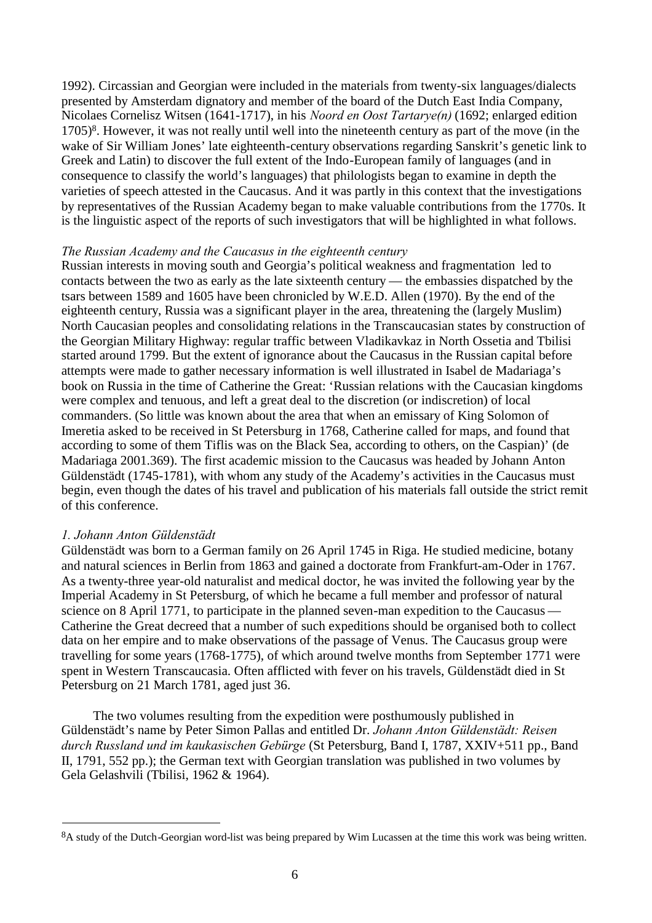1992). Circassian and Georgian were included in the materials from twenty-six languages/dialects presented by Amsterdam dignatory and member of the board of the Dutch East India Company, Nicolaes Cornelisz Witsen (1641-1717), in his *Noord en Oost Tartarye(n)* (1692; enlarged edition 1705)8[.](#page-5-0) However, it was not really until well into the nineteenth century as part of the move (in the wake of Sir William Jones' late eighteenth-century observations regarding Sanskrit's genetic link to Greek and Latin) to discover the full extent of the Indo-European family of languages (and in consequence to classify the world's languages) that philologists began to examine in depth the varieties of speech attested in the Caucasus. And it was partly in this context that the investigations by representatives of the Russian Academy began to make valuable contributions from the 1770s. It is the linguistic aspect of the reports of such investigators that will be highlighted in what follows.

### *The Russian Academy and the Caucasus in the eighteenth century*

Russian interests in moving south and Georgia's political weakness and fragmentation led to contacts between the two as early as the late sixteenth century — the embassies dispatched by the tsars between 1589 and 1605 have been chronicled by W.E.D. Allen (1970). By the end of the eighteenth century, Russia was a significant player in the area, threatening the (largely Muslim) North Caucasian peoples and consolidating relations in the Transcaucasian states by construction of the Georgian Military Highway: regular traffic between Vladikavkaz in North Ossetia and Tbilisi started around 1799. But the extent of ignorance about the Caucasus in the Russian capital before attempts were made to gather necessary information is well illustrated in Isabel de Madariaga's book on Russia in the time of Catherine the Great: 'Russian relations with the Caucasian kingdoms were complex and tenuous, and left a great deal to the discretion (or indiscretion) of local commanders. (So little was known about the area that when an emissary of King Solomon of Imeretia asked to be received in St Petersburg in 1768, Catherine called for maps, and found that according to some of them Tiflis was on the Black Sea, according to others, on the Caspian)' (de Madariaga 2001.369). The first academic mission to the Caucasus was headed by Johann Anton Güldenstädt (1745-1781), with whom any study of the Academy's activities in the Caucasus must begin, even though the dates of his travel and publication of his materials fall outside the strict remit of this conference.

### *1. Johann Anton Güldenstädt*

Güldenstädt was born to a German family on 26 April 1745 in Riga. He studied medicine, botany and natural sciences in Berlin from 1863 and gained a doctorate from Frankfurt-am-Oder in 1767. As a twenty-three year-old naturalist and medical doctor, he was invited the following year by the Imperial Academy in St Petersburg, of which he became a full member and professor of natural science on 8 April 1771, to participate in the planned seven-man expedition to the Caucasus — Catherine the Great decreed that a number of such expeditions should be organised both to collect data on her empire and to make observations of the passage of Venus. The Caucasus group were travelling for some years (1768-1775), of which around twelve months from September 1771 were spent in Western Transcaucasia. Often afflicted with fever on his travels, Güldenstädt died in St Petersburg on 21 March 1781, aged just 36.

The two volumes resulting from the expedition were posthumously published in Güldenstädt's name by Peter Simon Pallas and entitled Dr. *Johann Anton Güldenstädt: Reisen durch Russland und im kaukasischen Gebürge* (St Petersburg, Band I, 1787, XXIV+511 pp., Band II, 1791, 552 pp.); the German text with Georgian translation was published in two volumes by Gela Gelashvili (Tbilisi, 1962 & 1964).

<span id="page-5-0"></span><sup>8</sup>A study of the Dutch-Georgian word-list was being prepared by Wim Lucassen at the time this work was being written.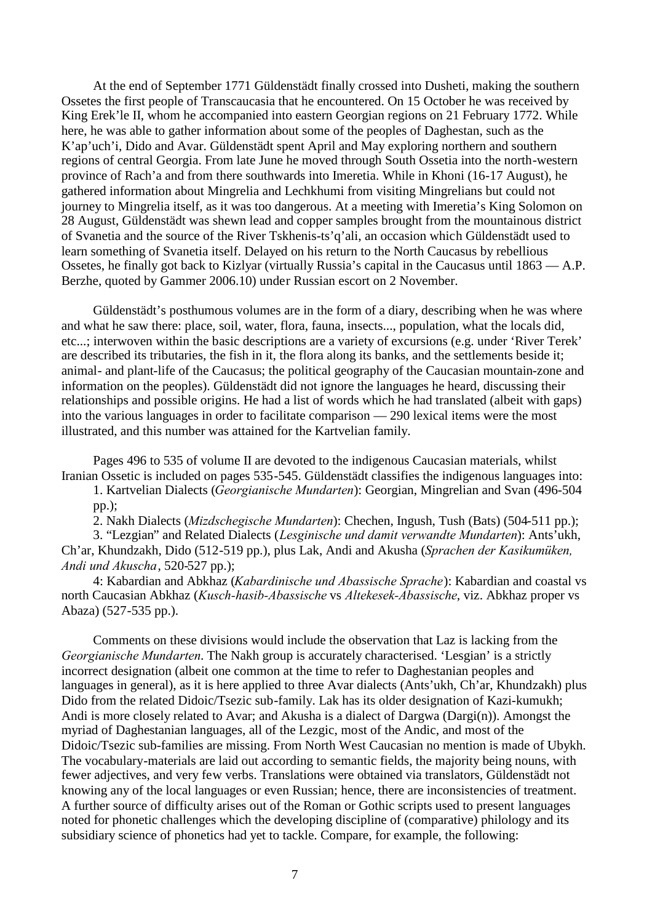At the end of September 1771 Güldenstädt finally crossed into Dusheti, making the southern Ossetes the first people of Transcaucasia that he encountered. On 15 October he was received by King Erek'le II, whom he accompanied into eastern Georgian regions on 21 February 1772. While here, he was able to gather information about some of the peoples of Daghestan, such as the K'ap'uch'i, Dido and Avar. Güldenstädt spent April and May exploring northern and southern regions of central Georgia. From late June he moved through South Ossetia into the north-western province of Rach'a and from there southwards into Imeretia. While in Khoni (16-17 August), he gathered information about Mingrelia and Lechkhumi from visiting Mingrelians but could not journey to Mingrelia itself, as it was too dangerous. At a meeting with Imeretia's King Solomon on 28 August, Güldenstädt was shewn lead and copper samples brought from the mountainous district of Svanetia and the source of the River Tskhenis-ts'q'ali, an occasion which Güldenstädt used to learn something of Svanetia itself. Delayed on his return to the North Caucasus by rebellious Ossetes, he finally got back to Kizlyar (virtually Russia's capital in the Caucasus until 1863 — A.P. Berzhe, quoted by Gammer 2006.10) under Russian escort on 2 November.

Güldenstädt's posthumous volumes are in the form of a diary, describing when he was where and what he saw there: place, soil, water, flora, fauna, insects..., population, what the locals did, etc...; interwoven within the basic descriptions are a variety of excursions (e.g. under 'River Terek' are described its tributaries, the fish in it, the flora along its banks, and the settlements beside it; animal- and plant-life of the Caucasus; the political geography of the Caucasian mountain-zone and information on the peoples). Güldenstädt did not ignore the languages he heard, discussing their relationships and possible origins. He had a list of words which he had translated (albeit with gaps) into the various languages in order to facilitate comparison — 290 lexical items were the most illustrated, and this number was attained for the Kartvelian family.

Pages 496 to 535 of volume II are devoted to the indigenous Caucasian materials, whilst Iranian Ossetic is included on pages 535-545. Güldenstädt classifies the indigenous languages into:

1. Kartvelian Dialects (*Georgianische Mundarten*): Georgian, Mingrelian and Svan (496-504 pp.);

2. Nakh Dialects (*Mizdschegische Mundarten*): Chechen, Ingush, Tush (Bats) (504-511 pp.);

3. "Lezgian" and Related Dialects (*Lesginische und damit verwandte Mundarten*): Ants'ukh, Ch'ar, Khundzakh, Dido (512-519 pp.), plus Lak, Andi and Akusha (*Sprachen der Kasikumüken, Andi und Akuscha*, 520-527 pp.);

4: Kabardian and Abkhaz (*Kabardinische und Abassische Sprache*): Kabardian and coastal vs north Caucasian Abkhaz (*Kusch-hasib-Abassische* vs *Altekesek-Abassische*, viz. Abkhaz proper vs Abaza) (527-535 pp.).

Comments on these divisions would include the observation that Laz is lacking from the *Georgianische Mundarten*. The Nakh group is accurately characterised. 'Lesgian' is a strictly incorrect designation (albeit one common at the time to refer to Daghestanian peoples and languages in general), as it is here applied to three Avar dialects (Ants'ukh, Ch'ar, Khundzakh) plus Dido from the related Didoic/Tsezic sub-family. Lak has its older designation of Kazi-kumukh; Andi is more closely related to Avar; and Akusha is a dialect of Dargwa (Dargi(n)). Amongst the myriad of Daghestanian languages, all of the Lezgic, most of the Andic, and most of the Didoic/Tsezic sub-families are missing. From North West Caucasian no mention is made of Ubykh. The vocabulary-materials are laid out according to semantic fields, the majority being nouns, with fewer adjectives, and very few verbs. Translations were obtained via translators, Güldenstädt not knowing any of the local languages or even Russian; hence, there are inconsistencies of treatment. A further source of difficulty arises out of the Roman or Gothic scripts used to present languages noted for phonetic challenges which the developing discipline of (comparative) philology and its subsidiary science of phonetics had yet to tackle. Compare, for example, the following: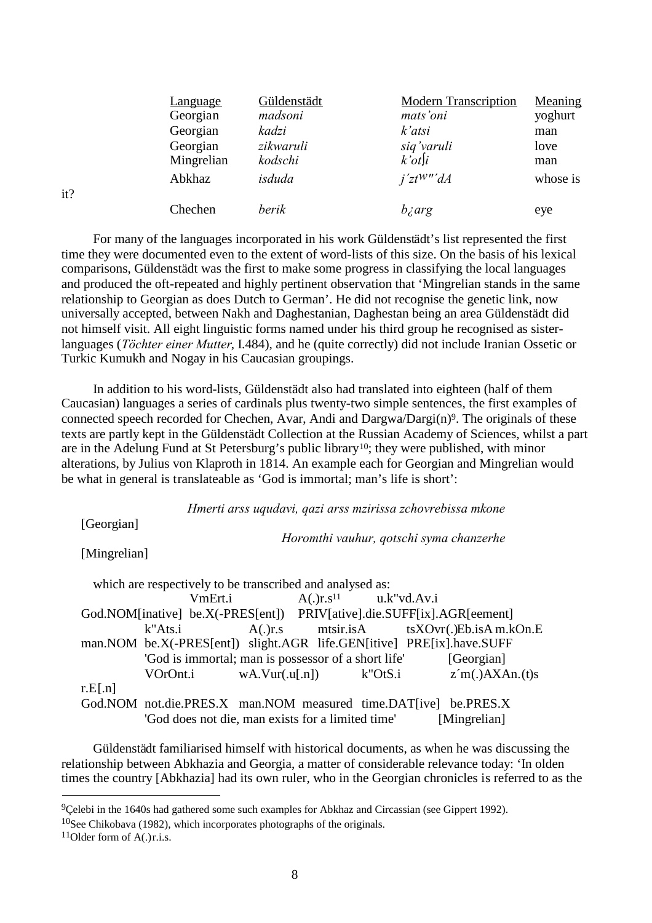| <u>Language</u> | Güldenstädt | <b>Modern Transcription</b> | Meaning  |
|-----------------|-------------|-----------------------------|----------|
| Georgian        | madsoni     | mats'oni                    | yoghurt  |
| Georgian        | kadzi       | k'atsi                      | man      |
| Georgian        | zikwaruli   | siq'varuli                  | love     |
| Mingrelian      | kodschi     | $k'$ ot $[i]$               | man      |
| Abkhaz          | isduda      | i'ztW'''dA                  | whose is |
| Chechen         | berik       | bzarg                       | eye      |

it?

For many of the languages incorporated in his work Güldenstädt's list represented the first time they were documented even to the extent of word-lists of this size. On the basis of his lexical comparisons, Güldenstädt was the first to make some progress in classifying the local languages and produced the oft-repeated and highly pertinent observation that 'Mingrelian stands in the same relationship to Georgian as does Dutch to German'. He did not recognise the genetic link, now universally accepted, between Nakh and Daghestanian, Daghestan being an area Güldenstädt did not himself visit. All eight linguistic forms named under his third group he recognised as sisterlanguages (*Töchter einer Mutter*, I.484), and he (quite correctly) did not include Iranian Ossetic or Turkic Kumukh and Nogay in his Caucasian groupings.

In addition to his word-lists, Güldenstädt also had translated into eighteen (half of them Caucasian) languages a series of cardinals plus twenty-two simple sentences, the first examples of connected speech recorded for Chechen, Avar, Andi and Dargwa/Dargi(n)<sup>9</sup>[.](#page-7-0) The originals of these texts are partly kept in the Güldenstädt Collection at the Russian Academy of Sciences, whilst a part are in the Adelung Fund at St Petersburg's public library[10](#page-7-1); they were published, with minor alterations, by Julius von Klaproth in 1814. An example each for Georgian and Mingrelian would be what in general is translateable as 'God is immortal; man's life is short':

*Hmerti arss uqudavi, qazi arss mzirissa zchovrebissa mkone*

[Georgian]

*Horomthi vauhur, qotschi syma chanzerhe*

[Mingrelian]

which are respectively to be transcribed and analysed as: VmErt.i  $A(.)r.s<sup>11</sup>$  $u.k"vd.Av.i$ God.NOM[inative] be.X(-PRES[ent]) PRIV[ative].die.SUFF[ix].AGR[eement] k"Ats.i A(.)r.s mtsir.isA tsXOvr(.)Eb.isA m.kOn.E man.NOM be.X(-PRES[ent]) slight.AGR life.GEN[itive] PRE[ix].have.SUFF 'God is immortal; man is possessor of a short life' [Georgian] VOrOnt.i wA.Vur(.u[.n]) k"OtS.i z´m(.)AXAn.(t)s  $r.E[.n]$ God.NOM not.die.PRES.X man.NOM measured time.DAT[ive] be.PRES.X 'God does not die, man exists for a limited time' [Mingrelian]

Güldenstädt familiarised himself with historical documents, as when he was discussing the relationship between Abkhazia and Georgia, a matter of considerable relevance today: 'In olden times the country [Abkhazia] had its own ruler, who in the Georgian chronicles is referred to as the

<span id="page-7-0"></span><sup>9</sup>Çelebi in the 1640s had gathered some such examples for Abkhaz and Circassian (see Gippert 1992).

<span id="page-7-1"></span><sup>10</sup>See Chikobava (1982), which incorporates photographs of the originals.

<span id="page-7-2"></span> $11$ Older form of A(.)r.i.s.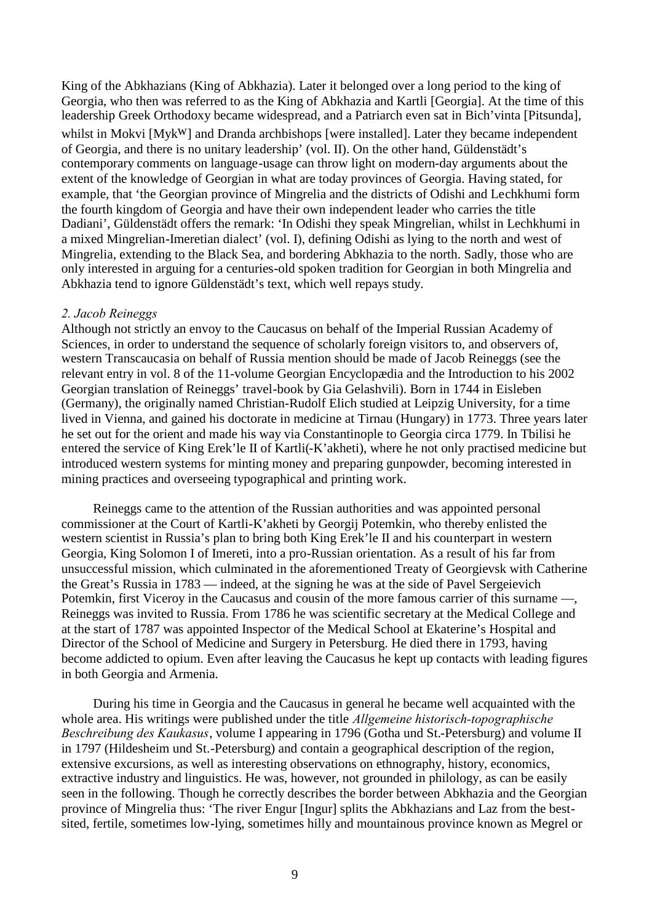King of the Abkhazians (King of Abkhazia). Later it belonged over a long period to the king of Georgia, who then was referred to as the King of Abkhazia and Kartli [Georgia]. At the time of this leadership Greek Orthodoxy became widespread, and a Patriarch even sat in Bich'vinta [Pitsunda],

whilst in Mokvi [Myk<sup>W</sup>] and Dranda archbishops [were installed]. Later they became independent of Georgia, and there is no unitary leadership' (vol. II). On the other hand, Güldenstädt's contemporary comments on language-usage can throw light on modern-day arguments about the extent of the knowledge of Georgian in what are today provinces of Georgia. Having stated, for example, that 'the Georgian province of Mingrelia and the districts of Odishi and Lechkhumi form the fourth kingdom of Georgia and have their own independent leader who carries the title Dadiani', Güldenstädt offers the remark: 'In Odishi they speak Mingrelian, whilst in Lechkhumi in a mixed Mingrelian-Imeretian dialect' (vol. I), defining Odishi as lying to the north and west of Mingrelia, extending to the Black Sea, and bordering Abkhazia to the north. Sadly, those who are only interested in arguing for a centuries-old spoken tradition for Georgian in both Mingrelia and Abkhazia tend to ignore Güldenstädt's text, which well repays study.

## *2. Jacob Reineggs*

Although not strictly an envoy to the Caucasus on behalf of the Imperial Russian Academy of Sciences, in order to understand the sequence of scholarly foreign visitors to, and observers of, western Transcaucasia on behalf of Russia mention should be made of Jacob Reineggs (see the relevant entry in vol. 8 of the 11-volume Georgian Encyclopædia and the Introduction to his 2002 Georgian translation of Reineggs' travel-book by Gia Gelashvili). Born in 1744 in Eisleben (Germany), the originally named Christian-Rudolf Elich studied at Leipzig University, for a time lived in Vienna, and gained his doctorate in medicine at Tirnau (Hungary) in 1773. Three years later he set out for the orient and made his way via Constantinople to Georgia circa 1779. In Tbilisi he entered the service of King Erek'le II of Kartli(-K'akheti), where he not only practised medicine but introduced western systems for minting money and preparing gunpowder, becoming interested in mining practices and overseeing typographical and printing work.

Reineggs came to the attention of the Russian authorities and was appointed personal commissioner at the Court of Kartli-K'akheti by Georgij Potemkin, who thereby enlisted the western scientist in Russia's plan to bring both King Erek'le II and his counterpart in western Georgia, King Solomon I of Imereti, into a pro-Russian orientation. As a result of his far from unsuccessful mission, which culminated in the aforementioned Treaty of Georgievsk with Catherine the Great's Russia in 1783 — indeed, at the signing he was at the side of Pavel Sergeievich Potemkin, first Viceroy in the Caucasus and cousin of the more famous carrier of this surname —, Reineggs was invited to Russia. From 1786 he was scientific secretary at the Medical College and at the start of 1787 was appointed Inspector of the Medical School at Ekaterine's Hospital and Director of the School of Medicine and Surgery in Petersburg. He died there in 1793, having become addicted to opium. Even after leaving the Caucasus he kept up contacts with leading figures in both Georgia and Armenia.

During his time in Georgia and the Caucasus in general he became well acquainted with the whole area. His writings were published under the title *Allgemeine historisch-topographische Beschreibung des Kaukasus*, volume I appearing in 1796 (Gotha und St.-Petersburg) and volume II in 1797 (Hildesheim und St.-Petersburg) and contain a geographical description of the region, extensive excursions, as well as interesting observations on ethnography, history, economics, extractive industry and linguistics. He was, however, not grounded in philology, as can be easily seen in the following. Though he correctly describes the border between Abkhazia and the Georgian province of Mingrelia thus: 'The river Engur [Ingur] splits the Abkhazians and Laz from the bestsited, fertile, sometimes low-lying, sometimes hilly and mountainous province known as Megrel or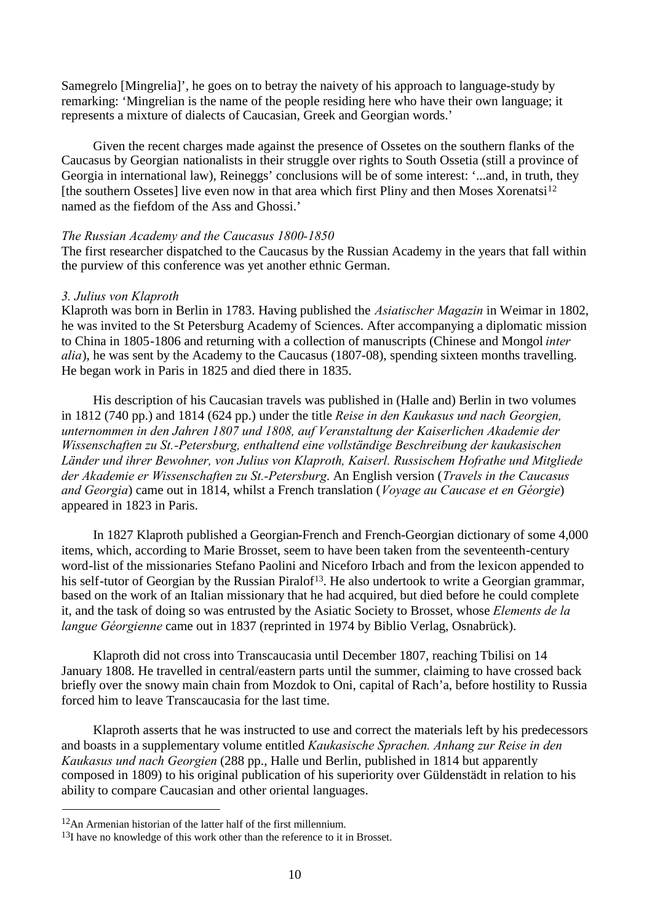Samegrelo [Mingrelia]', he goes on to betray the naivety of his approach to language-study by remarking: 'Mingrelian is the name of the people residing here who have their own language; it represents a mixture of dialects of Caucasian, Greek and Georgian words.'

Given the recent charges made against the presence of Ossetes on the southern flanks of the Caucasus by Georgian nationalists in their struggle over rights to South Ossetia (still a province of Georgia in international law), Reineggs' conclusions will be of some interest: '...and, in truth, they [the southern Ossetes] live even now in that area which first Pliny and then Moses Xorenatsi<sup>[12](#page-9-0)</sup> named as the fiefdom of the Ass and Ghossi.'

## *The Russian Academy and the Caucasus 1800-1850*

The first researcher dispatched to the Caucasus by the Russian Academy in the years that fall within the purview of this conference was yet another ethnic German.

## *3. Julius von Klaproth*

Klaproth was born in Berlin in 1783. Having published the *Asiatischer Magazin* in Weimar in 1802, he was invited to the St Petersburg Academy of Sciences. After accompanying a diplomatic mission to China in 1805-1806 and returning with a collection of manuscripts (Chinese and Mongol *inter alia*), he was sent by the Academy to the Caucasus (1807-08), spending sixteen months travelling. He began work in Paris in 1825 and died there in 1835.

His description of his Caucasian travels was published in (Halle and) Berlin in two volumes in 1812 (740 pp.) and 1814 (624 pp.) under the title *Reise in den Kaukasus und nach Georgien, unternommen in den Jahren 1807 und 1808, auf Veranstaltung der Kaiserlichen Akademie der Wissenschaften zu St.-Petersburg, enthaltend eine vollständige Beschreibung der kaukasischen Länder und ihrer Bewohner, von Julius von Klaproth, Kaiserl. Russischem Hofrathe und Mitgliede der Akademie er Wissenschaften zu St.-Petersburg*. An English version (*Travels in the Caucasus and Georgia*) came out in 1814, whilst a French translation (*Voyage au Caucase et en Géorgie*) appeared in 1823 in Paris.

In 1827 Klaproth published a Georgian-French and French-Georgian dictionary of some 4,000 items, which, according to Marie Brosset, seem to have been taken from the seventeenth-century word-list of the missionaries Stefano Paolini and Niceforo Irbach and from the lexicon appended to his self-tutor of Georgian by the Russian Piralof<sup>[13](#page-9-1)</sup>. He also undertook to write a Georgian grammar, based on the work of an Italian missionary that he had acquired, but died before he could complete it, and the task of doing so was entrusted by the Asiatic Society to Brosset, whose *Elements de la langue Géorgienne* came out in 1837 (reprinted in 1974 by Biblio Verlag, Osnabrück).

Klaproth did not cross into Transcaucasia until December 1807, reaching Tbilisi on 14 January 1808. He travelled in central/eastern parts until the summer, claiming to have crossed back briefly over the snowy main chain from Mozdok to Oni, capital of Rach'a, before hostility to Russia forced him to leave Transcaucasia for the last time.

Klaproth asserts that he was instructed to use and correct the materials left by his predecessors and boasts in a supplementary volume entitled *Kaukasische Sprachen. Anhang zur Reise in den Kaukasus und nach Georgien* (288 pp., Halle und Berlin, published in 1814 but apparently composed in 1809) to his original publication of his superiority over Güldenstädt in relation to his ability to compare Caucasian and other oriental languages.

<span id="page-9-0"></span><sup>12</sup>An Armenian historian of the latter half of the first millennium.

<span id="page-9-1"></span><sup>&</sup>lt;sup>13</sup>I have no knowledge of this work other than the reference to it in Brosset.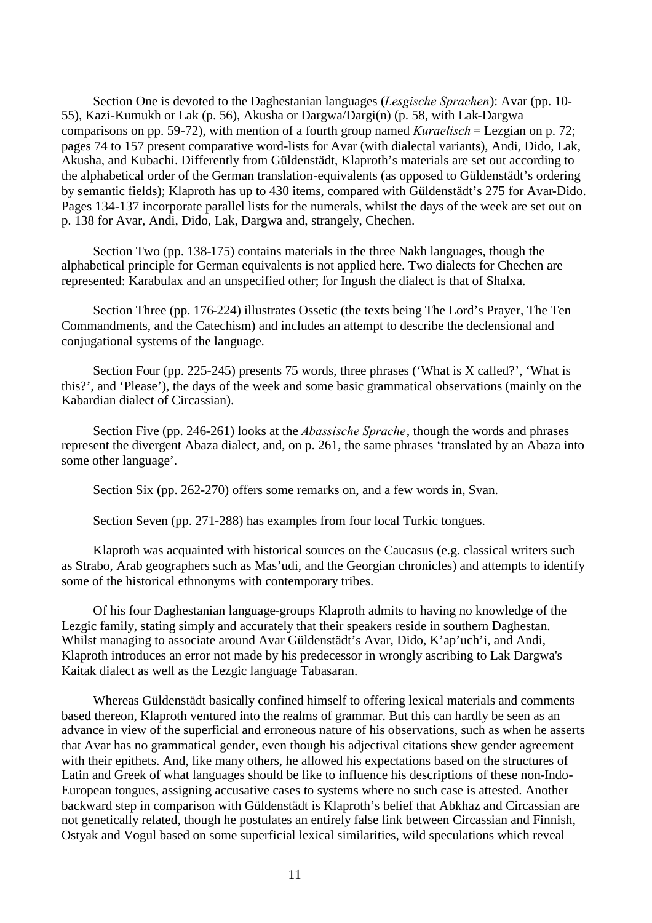Section One is devoted to the Daghestanian languages (*Lesgische Sprachen*): Avar (pp. 10- 55), Kazi-Kumukh or Lak (p. 56), Akusha or Dargwa/Dargi(n) (p. 58, with Lak-Dargwa comparisons on pp. 59-72), with mention of a fourth group named *Kuraelisch* = Lezgian on p. 72; pages 74 to 157 present comparative word-lists for Avar (with dialectal variants), Andi, Dido, Lak, Akusha, and Kubachi. Differently from Güldenstädt, Klaproth's materials are set out according to the alphabetical order of the German translation-equivalents (as opposed to Güldenstädt's ordering by semantic fields); Klaproth has up to 430 items, compared with Güldenstädt's 275 for Avar-Dido. Pages 134-137 incorporate parallel lists for the numerals, whilst the days of the week are set out on p. 138 for Avar, Andi, Dido, Lak, Dargwa and, strangely, Chechen.

Section Two (pp. 138-175) contains materials in the three Nakh languages, though the alphabetical principle for German equivalents is not applied here. Two dialects for Chechen are represented: Karabulax and an unspecified other; for Ingush the dialect is that of Shalxa.

Section Three (pp. 176-224) illustrates Ossetic (the texts being The Lord's Prayer, The Ten Commandments, and the Catechism) and includes an attempt to describe the declensional and conjugational systems of the language.

Section Four (pp. 225-245) presents 75 words, three phrases ('What is X called?', 'What is this?', and 'Please'), the days of the week and some basic grammatical observations (mainly on the Kabardian dialect of Circassian).

Section Five (pp. 246-261) looks at the *Abassische Sprache*, though the words and phrases represent the divergent Abaza dialect, and, on p. 261, the same phrases 'translated by an Abaza into some other language'.

Section Six (pp. 262-270) offers some remarks on, and a few words in, Svan.

Section Seven (pp. 271-288) has examples from four local Turkic tongues.

Klaproth was acquainted with historical sources on the Caucasus (e.g. classical writers such as Strabo, Arab geographers such as Mas'udi, and the Georgian chronicles) and attempts to identify some of the historical ethnonyms with contemporary tribes.

Of his four Daghestanian language-groups Klaproth admits to having no knowledge of the Lezgic family, stating simply and accurately that their speakers reside in southern Daghestan. Whilst managing to associate around Avar Güldenstädt's Avar, Dido, K'ap'uch'i, and Andi, Klaproth introduces an error not made by his predecessor in wrongly ascribing to Lak Dargwa's Kaitak dialect as well as the Lezgic language Tabasaran.

Whereas Güldenstädt basically confined himself to offering lexical materials and comments based thereon, Klaproth ventured into the realms of grammar. But this can hardly be seen as an advance in view of the superficial and erroneous nature of his observations, such as when he asserts that Avar has no grammatical gender, even though his adjectival citations shew gender agreement with their epithets. And, like many others, he allowed his expectations based on the structures of Latin and Greek of what languages should be like to influence his descriptions of these non-Indo-European tongues, assigning accusative cases to systems where no such case is attested. Another backward step in comparison with Güldenstädt is Klaproth's belief that Abkhaz and Circassian are not genetically related, though he postulates an entirely false link between Circassian and Finnish, Ostyak and Vogul based on some superficial lexical similarities, wild speculations which reveal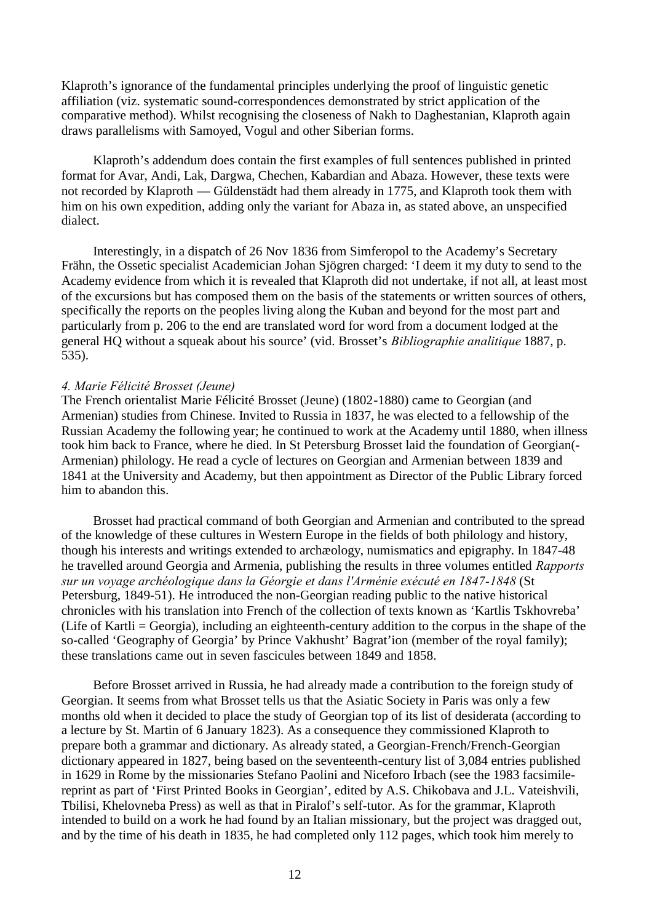Klaproth's ignorance of the fundamental principles underlying the proof of linguistic genetic affiliation (viz. systematic sound-correspondences demonstrated by strict application of the comparative method). Whilst recognising the closeness of Nakh to Daghestanian, Klaproth again draws parallelisms with Samoyed, Vogul and other Siberian forms.

Klaproth's addendum does contain the first examples of full sentences published in printed format for Avar, Andi, Lak, Dargwa, Chechen, Kabardian and Abaza. However, these texts were not recorded by Klaproth — Güldenstädt had them already in 1775, and Klaproth took them with him on his own expedition, adding only the variant for Abaza in, as stated above, an unspecified dialect.

Interestingly, in a dispatch of 26 Nov 1836 from Simferopol to the Academy's Secretary Frähn, the Ossetic specialist Academician Johan Sjögren charged: 'I deem it my duty to send to the Academy evidence from which it is revealed that Klaproth did not undertake, if not all, at least most of the excursions but has composed them on the basis of the statements or written sources of others, specifically the reports on the peoples living along the Kuban and beyond for the most part and particularly from p. 206 to the end are translated word for word from a document lodged at the general HQ without a squeak about his source' (vid. Brosset's *Bibliographie analitique* 1887, p. 535).

### *4. Marie Félicité Brosset (Jeune)*

The French orientalist Marie Félicité Brosset (Jeune) (1802-1880) came to Georgian (and Armenian) studies from Chinese. Invited to Russia in 1837, he was elected to a fellowship of the Russian Academy the following year; he continued to work at the Academy until 1880, when illness took him back to France, where he died. In St Petersburg Brosset laid the foundation of Georgian(- Armenian) philology. He read a cycle of lectures on Georgian and Armenian between 1839 and 1841 at the University and Academy, but then appointment as Director of the Public Library forced him to abandon this.

Brosset had practical command of both Georgian and Armenian and contributed to the spread of the knowledge of these cultures in Western Europe in the fields of both philology and history, though his interests and writings extended to archæology, numismatics and epigraphy. In 1847-48 he travelled around Georgia and Armenia, publishing the results in three volumes entitled *Rapports sur un voyage archéologique dans la Géorgie et dans l'Arménie exécuté en 1847-1848* (St Petersburg, 1849-51). He introduced the non-Georgian reading public to the native historical chronicles with his translation into French of the collection of texts known as 'Kartlis Tskhovreba' (Life of Kartli = Georgia), including an eighteenth-century addition to the corpus in the shape of the so-called 'Geography of Georgia' by Prince Vakhusht' Bagrat'ion (member of the royal family); these translations came out in seven fascicules between 1849 and 1858.

Before Brosset arrived in Russia, he had already made a contribution to the foreign study of Georgian. It seems from what Brosset tells us that the Asiatic Society in Paris was only a few months old when it decided to place the study of Georgian top of its list of desiderata (according to a lecture by St. Martin of 6 January 1823). As a consequence they commissioned Klaproth to prepare both a grammar and dictionary. As already stated, a Georgian-French/French-Georgian dictionary appeared in 1827, being based on the seventeenth-century list of 3,084 entries published in 1629 in Rome by the missionaries Stefano Paolini and Niceforo Irbach (see the 1983 facsimilereprint as part of 'First Printed Books in Georgian', edited by A.S. Chikobava and J.L. Vateishvili, Tbilisi, Khelovneba Press) as well as that in Piralof's self-tutor. As for the grammar, Klaproth intended to build on a work he had found by an Italian missionary, but the project was dragged out, and by the time of his death in 1835, he had completed only 112 pages, which took him merely to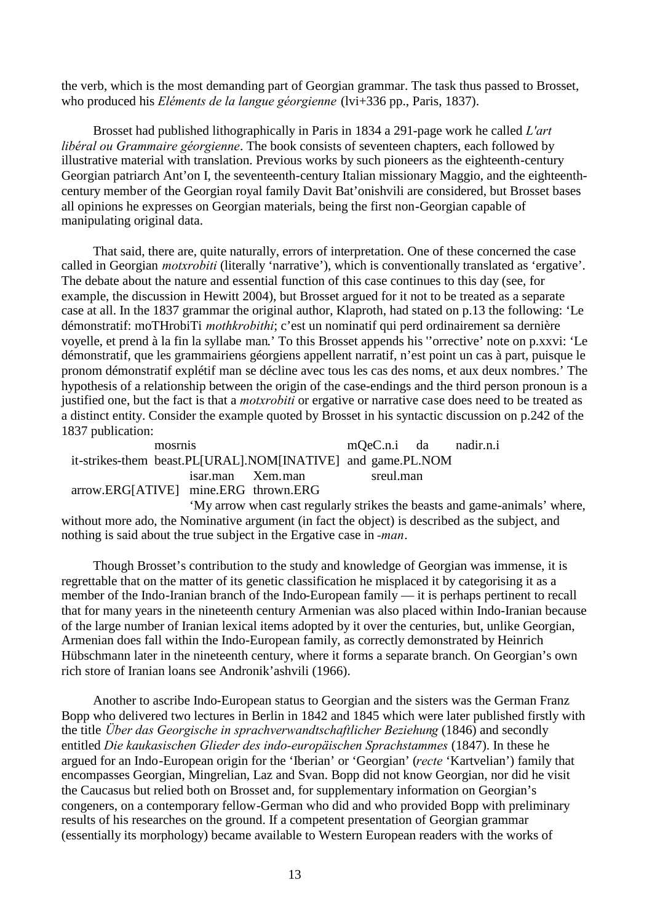the verb, which is the most demanding part of Georgian grammar. The task thus passed to Brosset, who produced his *Eléments de la langue géorgienne* (lvi+336 pp., Paris, 1837).

Brosset had published lithographically in Paris in 1834 a 291-page work he called *L'art libéral ou Grammaire géorgienne*. The book consists of seventeen chapters, each followed by illustrative material with translation. Previous works by such pioneers as the eighteenth-century Georgian patriarch Ant'on I, the seventeenth-century Italian missionary Maggio, and the eighteenthcentury member of the Georgian royal family Davit Bat'onishvili are considered, but Brosset bases all opinions he expresses on Georgian materials, being the first non-Georgian capable of manipulating original data.

That said, there are, quite naturally, errors of interpretation. One of these concerned the case called in Georgian *motxrobiti* (literally 'narrative'), which is conventionally translated as 'ergative'. The debate about the nature and essential function of this case continues to this day (see, for example, the discussion in Hewitt 2004), but Brosset argued for it not to be treated as a separate case at all. In the 1837 grammar the original author, Klaproth, had stated on p.13 the following: 'Le démonstratif: moTHrobiTi *mothkrobithi*; c'est un nominatif qui perd ordinairement sa dernière voyelle, et prend à la fin la syllabe man.' To this Brosset appends his ''orrective' note on p.xxvi: 'Le démonstratif, que les grammairiens géorgiens appellent narratif, n'est point un cas à part, puisque le pronom démonstratif explétif man se décline avec tous les cas des noms, et aux deux nombres.' The hypothesis of a relationship between the origin of the case-endings and the third person pronoun is a justified one, but the fact is that a *motxrobiti* or ergative or narrative case does need to be treated as a distinct entity. Consider the example quoted by Brosset in his syntactic discussion on p.242 of the 1837 publication:

mosrnis mQeC.n.i da nadir.n.i it-strikes-them beast.PL[URAL].NOM[INATIVE] and game.PL.NOM isar.man Xem.man sreul.man arrow.ERG[ATIVE] mine.ERG thrown.ERG

'My arrow when cast regularly strikes the beasts and game-animals' where, without more ado, the Nominative argument (in fact the object) is described as the subject, and nothing is said about the true subject in the Ergative case in *-man*.

Though Brosset's contribution to the study and knowledge of Georgian was immense, it is regrettable that on the matter of its genetic classification he misplaced it by categorising it as a member of the Indo-Iranian branch of the Indo-European family — it is perhaps pertinent to recall that for many years in the nineteenth century Armenian was also placed within Indo-Iranian because of the large number of Iranian lexical items adopted by it over the centuries, but, unlike Georgian, Armenian does fall within the Indo-European family, as correctly demonstrated by Heinrich Hübschmann later in the nineteenth century, where it forms a separate branch. On Georgian's own rich store of Iranian loans see Andronik'ashvili (1966).

Another to ascribe Indo-European status to Georgian and the sisters was the German Franz Bopp who delivered two lectures in Berlin in 1842 and 1845 which were later published firstly with the title *Über das Georgische in sprachverwandtschaftlicher Beziehung* (1846) and secondly entitled *Die kaukasischen Glieder des indo-europäischen Sprachstammes* (1847). In these he argued for an Indo-European origin for the 'Iberian' or 'Georgian' (*recte* 'Kartvelian') family that encompasses Georgian, Mingrelian, Laz and Svan. Bopp did not know Georgian, nor did he visit the Caucasus but relied both on Brosset and, for supplementary information on Georgian's congeners, on a contemporary fellow-German who did and who provided Bopp with preliminary results of his researches on the ground. If a competent presentation of Georgian grammar (essentially its morphology) became available to Western European readers with the works of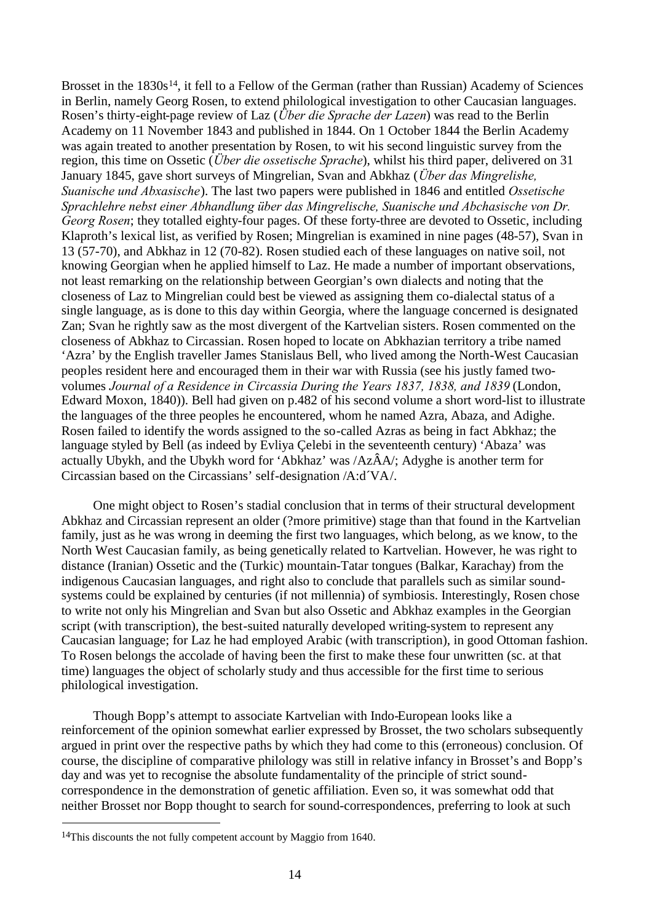Brosset in the 1830s<sup>[14](#page-13-0)</sup>, it fell to a Fellow of the German (rather than Russian) Academy of Sciences in Berlin, namely Georg Rosen, to extend philological investigation to other Caucasian languages. Rosen's thirty-eight-page review of Laz (*Über die Sprache der Lazen*) was read to the Berlin Academy on 11 November 1843 and published in 1844. On 1 October 1844 the Berlin Academy was again treated to another presentation by Rosen, to wit his second linguistic survey from the region, this time on Ossetic (*Über die ossetische Sprache*), whilst his third paper, delivered on 31 January 1845, gave short surveys of Mingrelian, Svan and Abkhaz (*Über das Mingrelishe, Suanische und Abxasische*). The last two papers were published in 1846 and entitled *Ossetische Sprachlehre nebst einer Abhandlung über das Mingrelische, Suanische und Abchasische von Dr. Georg Rosen*; they totalled eighty-four pages. Of these forty-three are devoted to Ossetic, including Klaproth's lexical list, as verified by Rosen; Mingrelian is examined in nine pages (48-57), Svan in 13 (57-70), and Abkhaz in 12 (70-82). Rosen studied each of these languages on native soil, not knowing Georgian when he applied himself to Laz. He made a number of important observations, not least remarking on the relationship between Georgian's own dialects and noting that the closeness of Laz to Mingrelian could best be viewed as assigning them co-dialectal status of a single language, as is done to this day within Georgia, where the language concerned is designated Zan; Svan he rightly saw as the most divergent of the Kartvelian sisters. Rosen commented on the closeness of Abkhaz to Circassian. Rosen hoped to locate on Abkhazian territory a tribe named 'Azra' by the English traveller James Stanislaus Bell, who lived among the North-West Caucasian peoples resident here and encouraged them in their war with Russia (see his justly famed twovolumes *Journal of a Residence in Circassia During the Years 1837, 1838, and 1839* (London, Edward Moxon, 1840)). Bell had given on p.482 of his second volume a short word-list to illustrate the languages of the three peoples he encountered, whom he named Azra, Abaza, and Adighe. Rosen failed to identify the words assigned to the so-called Azras as being in fact Abkhaz; the language styled by Bell (as indeed by Evliya Çelebi in the seventeenth century) 'Abaza' was actually Ubykh, and the Ubykh word for 'Abkhaz' was /AzÂA/; Adyghe is another term for Circassian based on the Circassians' self-designation /A:d´VA/.

One might object to Rosen's stadial conclusion that in terms of their structural development Abkhaz and Circassian represent an older (?more primitive) stage than that found in the Kartvelian family, just as he was wrong in deeming the first two languages, which belong, as we know, to the North West Caucasian family, as being genetically related to Kartvelian. However, he was right to distance (Iranian) Ossetic and the (Turkic) mountain-Tatar tongues (Balkar, Karachay) from the indigenous Caucasian languages, and right also to conclude that parallels such as similar soundsystems could be explained by centuries (if not millennia) of symbiosis. Interestingly, Rosen chose to write not only his Mingrelian and Svan but also Ossetic and Abkhaz examples in the Georgian script (with transcription), the best-suited naturally developed writing-system to represent any Caucasian language; for Laz he had employed Arabic (with transcription), in good Ottoman fashion. To Rosen belongs the accolade of having been the first to make these four unwritten (sc. at that time) languages the object of scholarly study and thus accessible for the first time to serious philological investigation.

Though Bopp's attempt to associate Kartvelian with Indo-European looks like a reinforcement of the opinion somewhat earlier expressed by Brosset, the two scholars subsequently argued in print over the respective paths by which they had come to this (erroneous) conclusion. Of course, the discipline of comparative philology was still in relative infancy in Brosset's and Bopp's day and was yet to recognise the absolute fundamentality of the principle of strict soundcorrespondence in the demonstration of genetic affiliation. Even so, it was somewhat odd that neither Brosset nor Bopp thought to search for sound-correspondences, preferring to look at such

<span id="page-13-0"></span><sup>14</sup>This discounts the not fully competent account by Maggio from 1640.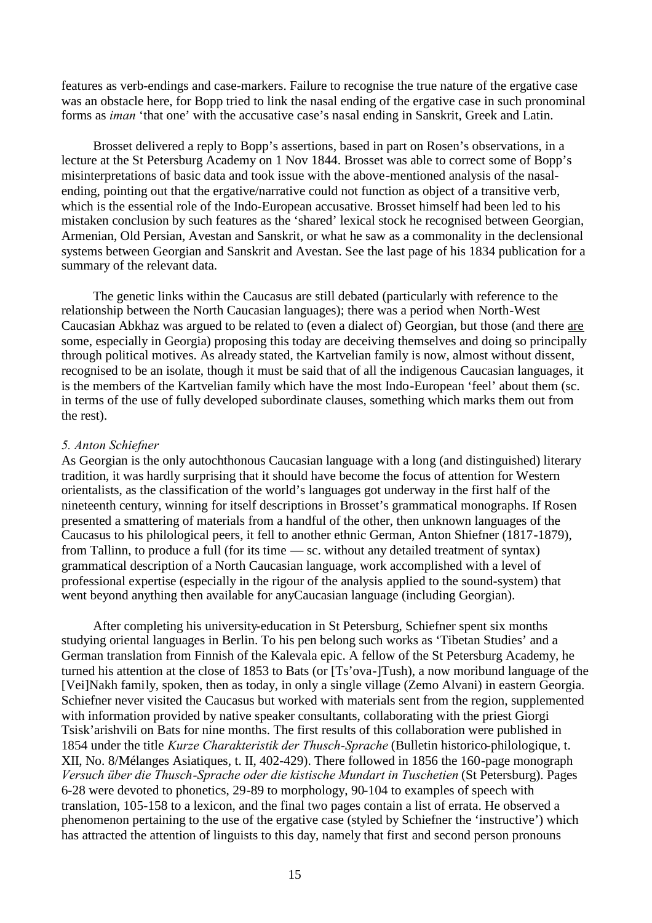features as verb-endings and case-markers. Failure to recognise the true nature of the ergative case was an obstacle here, for Bopp tried to link the nasal ending of the ergative case in such pronominal forms as *iman* 'that one' with the accusative case's nasal ending in Sanskrit, Greek and Latin.

Brosset delivered a reply to Bopp's assertions, based in part on Rosen's observations, in a lecture at the St Petersburg Academy on 1 Nov 1844. Brosset was able to correct some of Bopp's misinterpretations of basic data and took issue with the above-mentioned analysis of the nasalending, pointing out that the ergative/narrative could not function as object of a transitive verb, which is the essential role of the Indo-European accusative. Brosset himself had been led to his mistaken conclusion by such features as the 'shared' lexical stock he recognised between Georgian, Armenian, Old Persian, Avestan and Sanskrit, or what he saw as a commonality in the declensional systems between Georgian and Sanskrit and Avestan. See the last page of his 1834 publication for a summary of the relevant data.

The genetic links within the Caucasus are still debated (particularly with reference to the relationship between the North Caucasian languages); there was a period when North-West Caucasian Abkhaz was argued to be related to (even a dialect of) Georgian, but those (and there are some, especially in Georgia) proposing this today are deceiving themselves and doing so principally through political motives. As already stated, the Kartvelian family is now, almost without dissent, recognised to be an isolate, though it must be said that of all the indigenous Caucasian languages, it is the members of the Kartvelian family which have the most Indo-European 'feel' about them (sc. in terms of the use of fully developed subordinate clauses, something which marks them out from the rest).

## *5. Anton Schiefner*

As Georgian is the only autochthonous Caucasian language with a long (and distinguished) literary tradition, it was hardly surprising that it should have become the focus of attention for Western orientalists, as the classification of the world's languages got underway in the first half of the nineteenth century, winning for itself descriptions in Brosset's grammatical monographs. If Rosen presented a smattering of materials from a handful of the other, then unknown languages of the Caucasus to his philological peers, it fell to another ethnic German, Anton Shiefner (1817-1879), from Tallinn, to produce a full (for its time — sc. without any detailed treatment of syntax) grammatical description of a North Caucasian language, work accomplished with a level of professional expertise (especially in the rigour of the analysis applied to the sound-system) that went beyond anything then available for anyCaucasian language (including Georgian).

After completing his university-education in St Petersburg, Schiefner spent six months studying oriental languages in Berlin. To his pen belong such works as 'Tibetan Studies' and a German translation from Finnish of the Kalevala epic. A fellow of the St Petersburg Academy, he turned his attention at the close of 1853 to Bats (or [Ts'ova-]Tush), a now moribund language of the [Vei]Nakh family, spoken, then as today, in only a single village (Zemo Alvani) in eastern Georgia. Schiefner never visited the Caucasus but worked with materials sent from the region, supplemented with information provided by native speaker consultants, collaborating with the priest Giorgi Tsisk'arishvili on Bats for nine months. The first results of this collaboration were published in 1854 under the title *Kurze Charakteristik der Thusch-Sprache* (Bulletin historico-philologique, t. XII, No. 8/Mélanges Asiatiques, t. II, 402-429). There followed in 1856 the 160-page monograph *Versuch über die Thusch-Sprache oder die kistische Mundart in Tuschetien* (St Petersburg). Pages 6-28 were devoted to phonetics, 29-89 to morphology, 90-104 to examples of speech with translation, 105-158 to a lexicon, and the final two pages contain a list of errata. He observed a phenomenon pertaining to the use of the ergative case (styled by Schiefner the 'instructive') which has attracted the attention of linguists to this day, namely that first and second person pronouns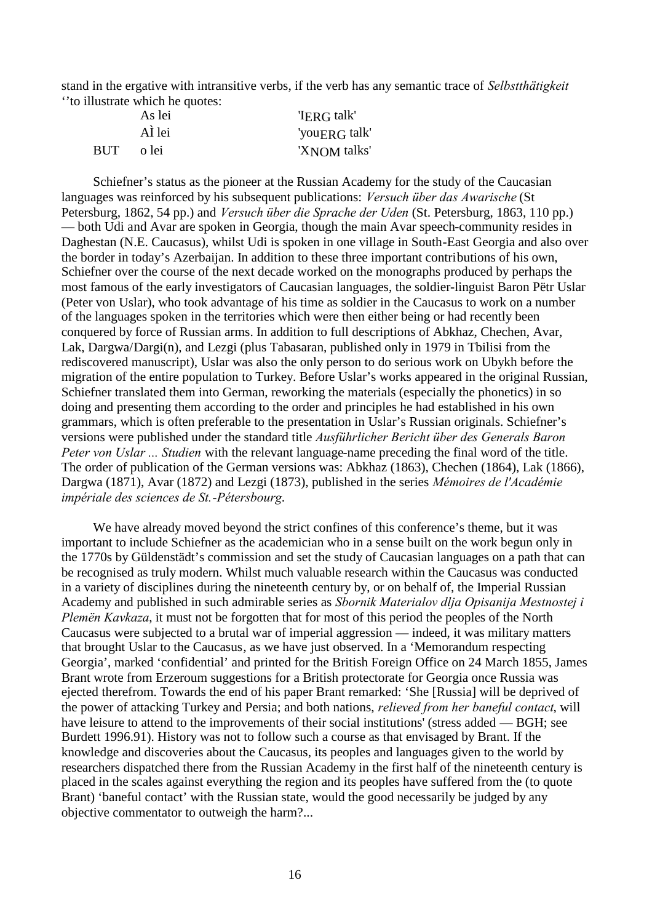stand in the ergative with intransitive verbs, if the verb has any semantic trace of *Selbstthätigkeit* ''to illustrate which he quotes:

|     | As lei  | 'IERG talk'   |
|-----|---------|---------------|
|     | AÌ lei  | 'youERG talk' |
| BUT | - o lei | 'XNOM talks'  |

Schiefner's status as the pioneer at the Russian Academy for the study of the Caucasian languages was reinforced by his subsequent publications: *Versuch über das Awarische* (St Petersburg, 1862, 54 pp.) and *Versuch über die Sprache der Uden* (St. Petersburg, 1863, 110 pp.) — both Udi and Avar are spoken in Georgia, though the main Avar speech-community resides in Daghestan (N.E. Caucasus), whilst Udi is spoken in one village in South-East Georgia and also over the border in today's Azerbaijan. In addition to these three important contributions of his own, Schiefner over the course of the next decade worked on the monographs produced by perhaps the most famous of the early investigators of Caucasian languages, the soldier-linguist Baron Pëtr Uslar (Peter von Uslar), who took advantage of his time as soldier in the Caucasus to work on a number of the languages spoken in the territories which were then either being or had recently been conquered by force of Russian arms. In addition to full descriptions of Abkhaz, Chechen, Avar, Lak, Dargwa/Dargi(n), and Lezgi (plus Tabasaran, published only in 1979 in Tbilisi from the rediscovered manuscript), Uslar was also the only person to do serious work on Ubykh before the migration of the entire population to Turkey. Before Uslar's works appeared in the original Russian, Schiefner translated them into German, reworking the materials (especially the phonetics) in so doing and presenting them according to the order and principles he had established in his own grammars, which is often preferable to the presentation in Uslar's Russian originals. Schiefner's versions were published under the standard title *Ausführlicher Bericht über des Generals Baron Peter von Uslar ... Studien* with the relevant language-name preceding the final word of the title. The order of publication of the German versions was: Abkhaz (1863), Chechen (1864), Lak (1866), Dargwa (1871), Avar (1872) and Lezgi (1873), published in the series *Mémoires de l'Académie impériale des sciences de St.-Pétersbourg*.

We have already moved beyond the strict confines of this conference's theme, but it was important to include Schiefner as the academician who in a sense built on the work begun only in the 1770s by Güldenstädt's commission and set the study of Caucasian languages on a path that can be recognised as truly modern. Whilst much valuable research within the Caucasus was conducted in a variety of disciplines during the nineteenth century by, or on behalf of, the Imperial Russian Academy and published in such admirable series as *Sbornik Materialov dlja Opisanija Mestnostej i Plemën Kavkaza*, it must not be forgotten that for most of this period the peoples of the North Caucasus were subjected to a brutal war of imperial aggression — indeed, it was military matters that brought Uslar to the Caucasus, as we have just observed. In a 'Memorandum respecting Georgia', marked 'confidential' and printed for the British Foreign Office on 24 March 1855, James Brant wrote from Erzeroum suggestions for a British protectorate for Georgia once Russia was ejected therefrom. Towards the end of his paper Brant remarked: 'She [Russia] will be deprived of the power of attacking Turkey and Persia; and both nations, *relieved from her baneful contact*, will have leisure to attend to the improvements of their social institutions' (stress added — BGH; see Burdett 1996.91). History was not to follow such a course as that envisaged by Brant. If the knowledge and discoveries about the Caucasus, its peoples and languages given to the world by researchers dispatched there from the Russian Academy in the first half of the nineteenth century is placed in the scales against everything the region and its peoples have suffered from the (to quote Brant) 'baneful contact' with the Russian state, would the good necessarily be judged by any objective commentator to outweigh the harm?...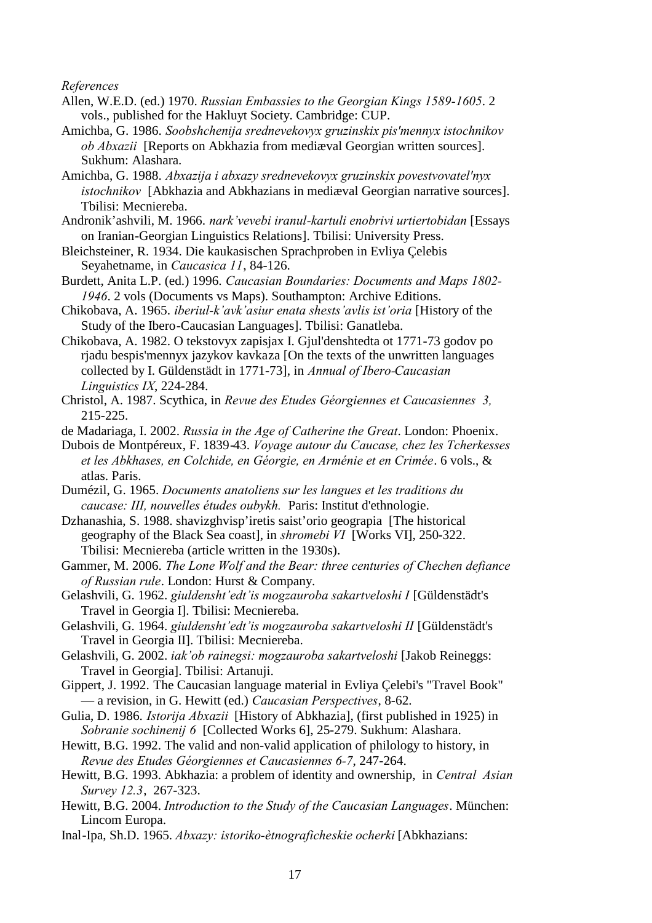*References*

- Allen, W.E.D. (ed.) 1970. *Russian Embassies to the Georgian Kings 1589-1605*. 2 vols., published for the Hakluyt Society. Cambridge: CUP.
- Amichba, G. 1986. *Soobshchenija srednevekovyx gruzinskix pis'mennyx istochnikov ob Abxazii* [Reports on Abkhazia from mediæval Georgian written sources]. Sukhum: Alashara.
- Amichba, G. 1988. *Abxazija i abxazy srednevekovyx gruzinskix povestvovatel'nyx istochnikov* [Abkhazia and Abkhazians in mediæval Georgian narrative sources]. Tbilisi: Mecniereba.

Andronik'ashvili, M. 1966. *nark'vevebi iranul-kartuli enobrivi urtiertobidan* [Essays on Iranian-Georgian Linguistics Relations]. Tbilisi: University Press.

- Bleichsteiner, R. 1934. Die kaukasischen Sprachproben in Evliya Çelebis Seyahetname, in *Caucasica 11*, 84-126.
- Burdett, Anita L.P. (ed.) 1996. *Caucasian Boundaries: Documents and Maps 1802- 1946*. 2 vols (Documents vs Maps). Southampton: Archive Editions.
- Chikobava, A. 1965. *iberiul-k'avk'asiur enata shests'avlis ist'oria* [History of the Study of the Ibero-Caucasian Languages]. Tbilisi: Ganatleba.
- Chikobava, A. 1982. O tekstovyx zapisjax I. Gjul'denshtedta ot 1771-73 godov po rjadu bespis'mennyx jazykov kavkaza [On the texts of the unwritten languages collected by I. Güldenstädt in 1771-73], in *Annual of Ibero-Caucasian Linguistics IX*, 224-284.
- Christol, A. 1987. Scythica, in *Revue des Etudes Géorgiennes et Caucasiennes 3,* 215-225.
- de Madariaga, I. 2002. *Russia in the Age of Catherine the Great*. London: Phoenix.
- Dubois de Montpéreux, F. 1839-43. *Voyage autour du Caucase, chez les Tcherkesses et les Abkhases, en Colchide, en Géorgie, en Arménie et en Crimée*. 6 vols., & atlas. Paris.
- Dumézil, G. 1965. *Documents anatoliens sur les langues et les traditions du caucase: III, nouvelles études oubykh.* Paris: Institut d'ethnologie.
- Dzhanashia, S. 1988. shavizghvisp'iretis saist'orio geograpia [The historical geography of the Black Sea coast], in *shromebi VI* [Works VI], 250-322. Tbilisi: Mecniereba (article written in the 1930s).
- Gammer, M. 2006. *The Lone Wolf and the Bear: three centuries of Chechen defiance of Russian rule*. London: Hurst & Company.
- Gelashvili, G. 1962. *giuldensht'edt'is mogzauroba sakartveloshi I* [Güldenstädt's Travel in Georgia I]. Tbilisi: Mecniereba.
- Gelashvili, G. 1964. *giuldensht'edt'is mogzauroba sakartveloshi II* [Güldenstädt's Travel in Georgia II]. Tbilisi: Mecniereba.
- Gelashvili, G. 2002. *iak'ob rainegsi: mogzauroba sakartveloshi* [Jakob Reineggs: Travel in Georgia]. Tbilisi: Artanuji.
- Gippert, J. 1992. The Caucasian language material in Evliya Çelebi's "Travel Book" — a revision, in G. Hewitt (ed.) *Caucasian Perspectives*, 8-62.
- Gulia, D. 1986. *Istorija Abxazii* [History of Abkhazia], (first published in 1925) in *Sobranie sochinenij 6* [Collected Works 6], 25-279. Sukhum: Alashara.
- Hewitt, B.G. 1992. The valid and non-valid application of philology to history, in *Revue des Etudes Géorgiennes et Caucasiennes 6-7*, 247-264.
- Hewitt, B.G. 1993. Abkhazia: a problem of identity and ownership, in *Central Asian Survey 12.3*, 267-323.
- Hewitt, B.G. 2004. *Introduction to the Study of the Caucasian Languages*. München: Lincom Europa.
- Inal-Ipa, Sh.D. 1965. *Abxazy: istoriko-ètnograficheskie ocherki* [Abkhazians: